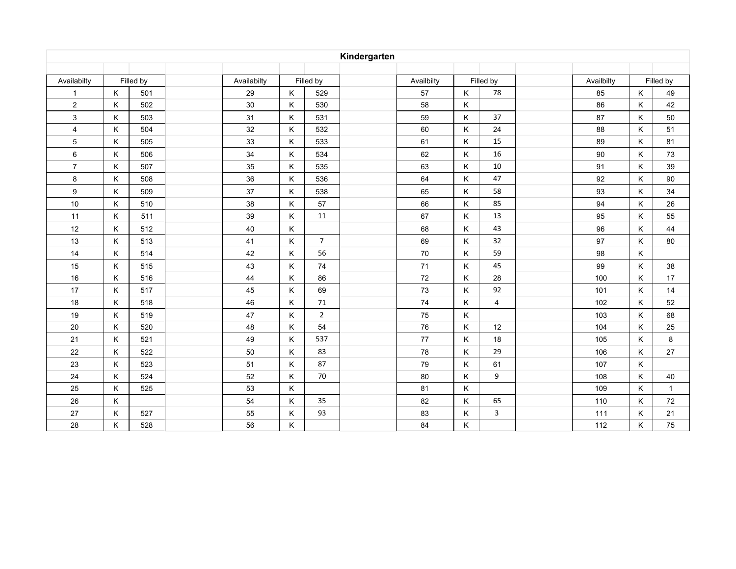| Kindergarten   |           |     |             |           |         |                |            |           |    |                |            |     |           |              |
|----------------|-----------|-----|-------------|-----------|---------|----------------|------------|-----------|----|----------------|------------|-----|-----------|--------------|
|                |           |     |             |           |         |                |            |           |    |                |            |     |           |              |
| Availabilty    | Filled by |     | Availabilty | Filled by |         |                | Availbilty | Filled by |    |                | Availbilty |     | Filled by |              |
| $\mathbf{1}$   | K         | 501 |             | 29        | K       | 529            |            | 57        | K. | 78             |            | 85  | K         | 49           |
| $\overline{c}$ | Κ         | 502 |             | $30\,$    | Κ       | 530            |            | 58        | K  |                |            | 86  | K         | 42           |
| $\mathsf 3$    | K         | 503 |             | 31        | Κ       | 531            |            | 59        | K  | 37             |            | 87  | Κ         | 50           |
| 4              | Κ         | 504 |             | 32        | $\sf K$ | 532            |            | 60        | Κ  | 24             |            | 88  | Κ         | 51           |
| 5              | Κ         | 505 |             | 33        | Κ       | 533            |            | 61        | K  | 15             |            | 89  | K         | 81           |
| 6              | Κ         | 506 |             | 34        | Κ       | 534            |            | 62        | K  | 16             |            | 90  | Κ         | 73           |
| $\overline{7}$ | K         | 507 |             | 35        | Κ       | 535            |            | 63        | K  | 10             |            | 91  | K         | 39           |
| 8              | Κ         | 508 |             | 36        | Κ       | 536            |            | 64        | Κ  | 47             |            | 92  | K         | 90           |
| 9              | Κ         | 509 |             | 37        | Κ       | 538            |            | 65        | K  | 58             |            | 93  | Κ         | 34           |
| 10             | Κ         | 510 |             | 38        | Κ       | 57             |            | 66        | K  | 85             |            | 94  | Κ         | 26           |
| 11             | K         | 511 |             | 39        | Κ       | 11             |            | 67        | K. | 13             |            | 95  | K         | 55           |
| 12             | Κ         | 512 |             | 40        | Κ       |                |            | 68        | K  | 43             |            | 96  | Κ         | 44           |
| 13             | K         | 513 |             | 41        | Κ       | $\overline{7}$ |            | 69        | K  | 32             |            | 97  | Κ         | 80           |
| 14             | K         | 514 |             | 42        | Κ       | 56             |            | 70        | K  | 59             |            | 98  | Κ         |              |
| 15             | K         | 515 |             | 43        | Κ       | 74             |            | 71        | Κ  | 45             |            | 99  | Κ         | 38           |
| 16             | K         | 516 |             | 44        | Κ       | 86             |            | 72        | K. | 28             |            | 100 | K         | 17           |
| 17             | Κ         | 517 |             | 45        | Κ       | 69             |            | 73        | K  | 92             |            | 101 | Κ         | 14           |
| 18             | Κ         | 518 |             | 46        | Κ       | 71             |            | 74        | K  | $\overline{4}$ |            | 102 | Κ         | 52           |
| 19             | Κ         | 519 |             | 47        | Κ       | $\overline{2}$ |            | 75        | K  |                |            | 103 | Κ         | 68           |
| 20             | K         | 520 |             | 48        | Κ       | 54             |            | 76        | K  | 12             |            | 104 | K         | 25           |
| 21             | K         | 521 |             | 49        | Κ       | 537            |            | 77        | Κ  | 18             |            | 105 | Κ         | 8            |
| 22             | Κ         | 522 |             | 50        | Κ       | 83             |            | 78        | K  | 29             |            | 106 | Κ         | 27           |
| 23             | Κ         | 523 |             | 51        | Κ       | 87             |            | 79        | K  | 61             |            | 107 | K         |              |
| 24             | Κ         | 524 |             | 52        | Κ       | 70             |            | 80        | K  | 9              |            | 108 | Κ         | 40           |
| 25             | K         | 525 |             | 53        | Κ       |                |            | 81        | K  |                |            | 109 | Κ         | $\mathbf{1}$ |
| 26             | K         |     |             | 54        | K       | 35             |            | 82        | Κ  | 65             |            | 110 | Κ         | 72           |
| 27             | Κ         | 527 |             | 55        | Κ       | 93             |            | 83        | K  | $\mathbf{3}$   |            | 111 | Κ         | 21           |
| 28             | Κ         | 528 |             | 56        | Κ       |                |            | 84        | K  |                |            | 112 | Κ         | 75           |